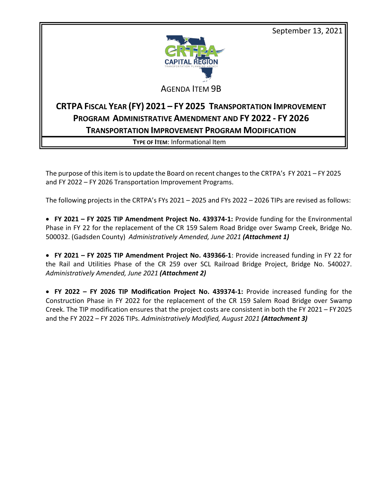September 13, 2021



## AGENDA ITEM 9B

# **CRTPA FISCAL YEAR (FY) 2021 – FY 2025 TRANSPORTATION IMPROVEMENT PROGRAM ADMINISTRATIVE AMENDMENT AND FY 2022 - FY 2026 TRANSPORTATION IMPROVEMENT PROGRAM MODIFICATION**

**TYPE OF ITEM**: Informational Item

The purpose of this item is to update the Board on recent changes to the CRTPA's FY 2021 – FY 2025 and FY 2022 – FY 2026 Transportation Improvement Programs.

The following projects in the CRTPA's FYs 2021 – 2025 and FYs 2022 – 2026 TIPs are revised as follows:

• **FY 2021 – FY 2025 TIP Amendment Project No. 439374-1:** Provide funding for the Environmental Phase in FY 22 for the replacement of the CR 159 Salem Road Bridge over Swamp Creek, Bridge No. 500032. (Gadsden County) *Administratively Amended, June 2021 (Attachment 1)*

• **FY 2021 – FY 2025 TIP Amendment Project No. 439366-1**: Provide increased funding in FY 22 for the Rail and Utilities Phase of the CR 259 over SCL Railroad Bridge Project, Bridge No. 540027. *Administratively Amended, June 2021 (Attachment 2)*

• **FY 2022 – FY 2026 TIP Modification Project No. 439374-1:** Provide increased funding for the Construction Phase in FY 2022 for the replacement of the CR 159 Salem Road Bridge over Swamp Creek. The TIP modification ensures that the project costs are consistent in both the FY 2021 – FY2025 and the FY 2022 – FY 2026 TIPs. *Administratively Modified, August 2021 (Attachment 3)*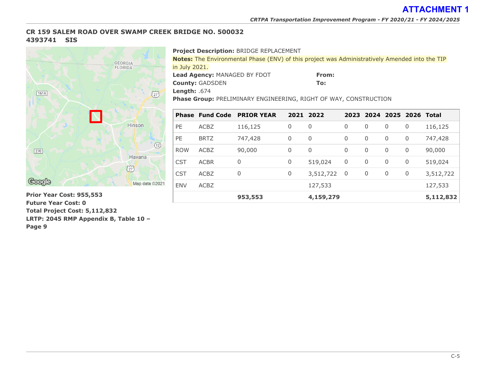## **CR 159 SALEM ROAD OVER SWAMP CREEK BRIDGE NO. 500032 4393741 SIS**



**953,553 4,159,279 5,112,832 Prior Year Cost: 955,553 Future Year Cost: 0 Total Project Cost: 5,112,832 LRTP: 2045 RMP Appendix B, Table 10 – Page 9**

#### **Project Description:** BRIDGE REPLACEMENT

**Notes:** The Environmental Phase (ENV) of this project was Administratively Amended into the TIP in July 2021.

**Lead Agency:** MANAGED BY FDOT

**From: To:**

**Length:** .674

**County:** GADSDEN

**Phase Group:** PRELIMINARY ENGINEERING, RIGHT OF WAY, CONSTRUCTION

|            | <b>Phase Fund Code</b> | <b>PRIOR YEAR</b> |              | 2021 2022    |                          |          |   | 2023 2024 2025 2026 Total |           |
|------------|------------------------|-------------------|--------------|--------------|--------------------------|----------|---|---------------------------|-----------|
| <b>PE</b>  | <b>ACBZ</b>            | 116,125           | 0            | 0            | $\overline{0}$           | 0        | 0 | 0                         | 116,125   |
| <b>PE</b>  | <b>BRTZ</b>            | 747,428           | 0            | $\mathbf 0$  | 0                        | 0        | 0 | $\overline{0}$            | 747,428   |
| <b>ROW</b> | <b>ACBZ</b>            | 90,000            | $\mathbf{0}$ | $\mathbf{0}$ | $\Omega$                 | $\Omega$ | 0 | $\overline{0}$            | 90,000    |
| <b>CST</b> | <b>ACBR</b>            | $\overline{0}$    | 0            | 519,024      | $\mathbf 0$              | 0        | 0 | $\overline{0}$            | 519,024   |
| <b>CST</b> | <b>ACBZ</b>            | 0                 | 0            | 3,512,722    | $\overline{\phantom{0}}$ | 0        | 0 | $\overline{0}$            | 3,512,722 |
| <b>ENV</b> | <b>ACBZ</b>            |                   |              | 127,533      |                          |          |   |                           | 127,533   |
|            |                        | 953,553           |              | 4,159,279    |                          |          |   |                           | 5,112,832 |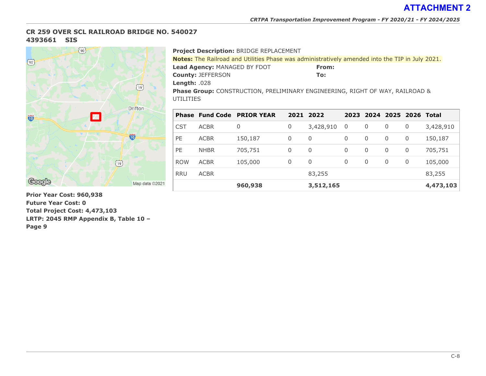### **CR 259 OVER SCL RAILROAD BRIDGE NO. 540027 4393661 SIS**



**Prior Year Cost: 960,938 Future Year Cost: 0 Total Project Cost: 4,473,103 LRTP: 2045 RMP Appendix B, Table 10 – Page 9**

#### **Project Description:** BRIDGE REPLACEMENT

| <b>Notes:</b> The Railroad and Utilities Phase was administratively amended into the TIP in July 2021. |       |  |  |  |  |  |
|--------------------------------------------------------------------------------------------------------|-------|--|--|--|--|--|
| <b>Lead Agency: MANAGED BY FDOT</b>                                                                    | From: |  |  |  |  |  |
| <b>County: JEFFERSON</b>                                                                               | To:   |  |  |  |  |  |
| <b>Length:</b> $.028$                                                                                  |       |  |  |  |  |  |
| <b>Phase Group:</b> CONSTRUCTION, PRELIMINARY ENGINEERING, RIGHT OF WAY, RAILROAD &                    |       |  |  |  |  |  |
| UTILITIES                                                                                              |       |  |  |  |  |  |

|            |             | <b>Phase Fund Code PRIOR YEAR</b> |   | 2021 2022    |                          |          | 2023 2024 2025 2026 Total |   |           |
|------------|-------------|-----------------------------------|---|--------------|--------------------------|----------|---------------------------|---|-----------|
| <b>CST</b> | <b>ACBR</b> | 0                                 | 0 | 3,428,910    | $\overline{\phantom{0}}$ | 0        | 0                         | 0 | 3,428,910 |
| <b>PE</b>  | <b>ACBR</b> | 150,187                           | 0 | 0            | 0                        | 0        | $\mathbf 0$               | 0 | 150,187   |
| <b>PE</b>  | <b>NHBR</b> | 705,751                           | 0 | $\mathbf{0}$ | 0                        | 0        | $\mathbf 0$               | 0 | 705,751   |
| <b>ROW</b> | <b>ACBR</b> | 105,000                           | 0 | 0            | 0                        | $\Omega$ | 0                         | 0 | 105,000   |
| <b>RRU</b> | <b>ACBR</b> |                                   |   | 83,255       |                          |          |                           |   | 83,255    |
|            |             | 960,938                           |   | 3,512,165    |                          |          |                           |   | 4,473,103 |